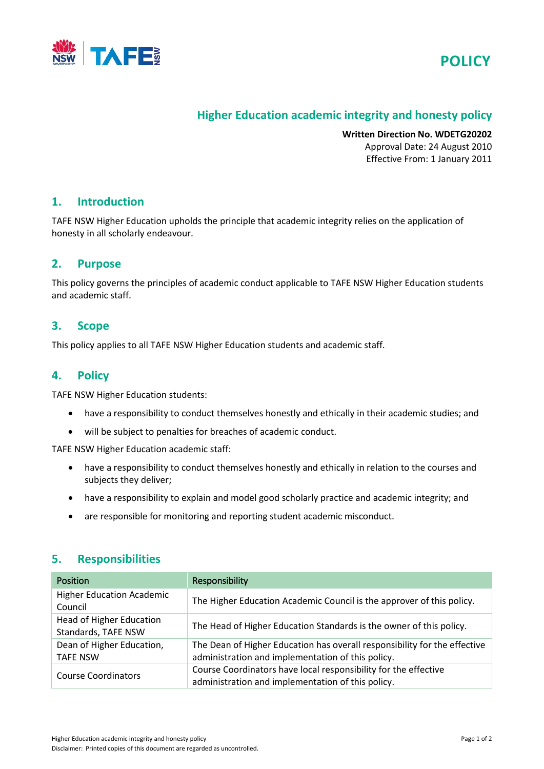



# **Higher Education academic integrity and honesty policy**

**Written Direction No. WDETG20202** Approval Date: 24 August 2010 Effective From: 1 January 2011

### **1. Introduction**

TAFE NSW Higher Education upholds the principle that academic integrity relies on the application of honesty in all scholarly endeavour.

### **2. Purpose**

This policy governs the principles of academic conduct applicable to TAFE NSW Higher Education students and academic staff.

## **3. Scope**

This policy applies to all TAFE NSW Higher Education students and academic staff.

## **4. Policy**

TAFE NSW Higher Education students:

- have a responsibility to conduct themselves honestly and ethically in their academic studies; and
- will be subject to penalties for breaches of academic conduct.

TAFE NSW Higher Education academic staff:

- have a responsibility to conduct themselves honestly and ethically in relation to the courses and subjects they deliver;
- have a responsibility to explain and model good scholarly practice and academic integrity; and
- are responsible for monitoring and reporting student academic misconduct.

## **5. Responsibilities**

| <b>Position</b>                                        | Responsibility                                                                                                                 |
|--------------------------------------------------------|--------------------------------------------------------------------------------------------------------------------------------|
| <b>Higher Education Academic</b><br>Council            | The Higher Education Academic Council is the approver of this policy.                                                          |
| <b>Head of Higher Education</b><br>Standards, TAFE NSW | The Head of Higher Education Standards is the owner of this policy.                                                            |
| Dean of Higher Education,<br><b>TAFE NSW</b>           | The Dean of Higher Education has overall responsibility for the effective<br>administration and implementation of this policy. |
| <b>Course Coordinators</b>                             | Course Coordinators have local responsibility for the effective<br>administration and implementation of this policy.           |